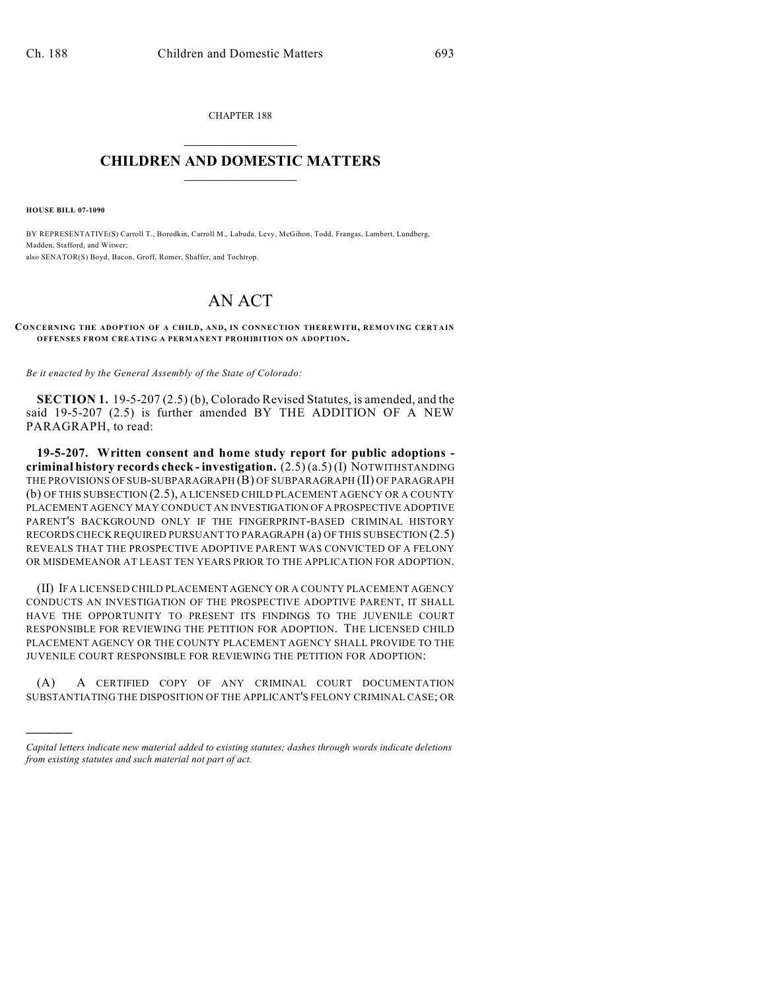CHAPTER 188  $\overline{\phantom{a}}$  . The set of the set of the set of the set of the set of the set of the set of the set of the set of the set of the set of the set of the set of the set of the set of the set of the set of the set of the set o

## **CHILDREN AND DOMESTIC MATTERS**  $\_$

**HOUSE BILL 07-1090**

)))))

BY REPRESENTATIVE(S) Carroll T., Borodkin, Carroll M., Labuda, Levy, McGihon, Todd, Frangas, Lambert, Lundberg, Madden, Stafford, and Witwer; also SENATOR(S) Boyd, Bacon, Groff, Romer, Shaffer, and Tochtrop.

## AN ACT

## **CONCERNING THE ADOPTION OF A CHILD, AND, IN CONNECTION THEREWITH, REM OVING CERTAIN OFFENSES FROM CREATING A PERMANENT PROHIBITION ON ADOPTION.**

*Be it enacted by the General Assembly of the State of Colorado:*

**SECTION 1.** 19-5-207 (2.5) (b), Colorado Revised Statutes, is amended, and the said 19-5-207 (2.5) is further amended BY THE ADDITION OF A NEW PARAGRAPH, to read:

**19-5-207. Written consent and home study report for public adoptions criminal history records check - investigation.** (2.5) (a.5) (I) NOTWITHSTANDING THE PROVISIONS OF SUB-SUBPARAGRAPH (B) OF SUBPARAGRAPH (II) OF PARAGRAPH (b) OF THIS SUBSECTION (2.5), A LICENSED CHILD PLACEMENT AGENCY OR A COUNTY PLACEMENT AGENCY MAY CONDUCT AN INVESTIGATION OF A PROSPECTIVE ADOPTIVE PARENT'S BACKGROUND ONLY IF THE FINGERPRINT-BASED CRIMINAL HISTORY RECORDS CHECK REQUIRED PURSUANT TO PARAGRAPH (a) OFTHIS SUBSECTION (2.5) REVEALS THAT THE PROSPECTIVE ADOPTIVE PARENT WAS CONVICTED OF A FELONY OR MISDEMEANOR AT LEAST TEN YEARS PRIOR TO THE APPLICATION FOR ADOPTION.

(II) IF A LICENSED CHILD PLACEMENT AGENCY OR A COUNTY PLACEMENT AGENCY CONDUCTS AN INVESTIGATION OF THE PROSPECTIVE ADOPTIVE PARENT, IT SHALL HAVE THE OPPORTUNITY TO PRESENT ITS FINDINGS TO THE JUVENILE COURT RESPONSIBLE FOR REVIEWING THE PETITION FOR ADOPTION. THE LICENSED CHILD PLACEMENT AGENCY OR THE COUNTY PLACEMENT AGENCY SHALL PROVIDE TO THE JUVENILE COURT RESPONSIBLE FOR REVIEWING THE PETITION FOR ADOPTION:

(A) A CERTIFIED COPY OF ANY CRIMINAL COURT DOCUMENTATION SUBSTANTIATING THE DISPOSITION OF THE APPLICANT'S FELONY CRIMINAL CASE; OR

*Capital letters indicate new material added to existing statutes; dashes through words indicate deletions from existing statutes and such material not part of act.*